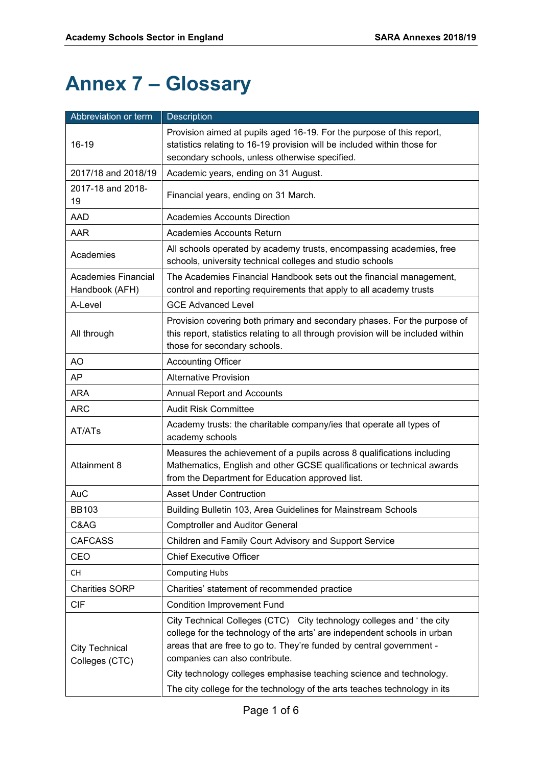# **Annex 7 – Glossary**

| Abbreviation or term                    | Description                                                                                                                                                                                                                                                                                                                       |
|-----------------------------------------|-----------------------------------------------------------------------------------------------------------------------------------------------------------------------------------------------------------------------------------------------------------------------------------------------------------------------------------|
|                                         | Provision aimed at pupils aged 16-19. For the purpose of this report,                                                                                                                                                                                                                                                             |
| 16-19                                   | statistics relating to 16-19 provision will be included within those for                                                                                                                                                                                                                                                          |
|                                         | secondary schools, unless otherwise specified.                                                                                                                                                                                                                                                                                    |
| 2017/18 and 2018/19                     | Academic years, ending on 31 August.                                                                                                                                                                                                                                                                                              |
| 2017-18 and 2018-<br>19                 | Financial years, ending on 31 March.                                                                                                                                                                                                                                                                                              |
| <b>AAD</b>                              | <b>Academies Accounts Direction</b>                                                                                                                                                                                                                                                                                               |
| AAR                                     | <b>Academies Accounts Return</b>                                                                                                                                                                                                                                                                                                  |
| Academies                               | All schools operated by academy trusts, encompassing academies, free<br>schools, university technical colleges and studio schools                                                                                                                                                                                                 |
| Academies Financial<br>Handbook (AFH)   | The Academies Financial Handbook sets out the financial management,<br>control and reporting requirements that apply to all academy trusts                                                                                                                                                                                        |
| A-Level                                 | <b>GCE Advanced Level</b>                                                                                                                                                                                                                                                                                                         |
| All through                             | Provision covering both primary and secondary phases. For the purpose of<br>this report, statistics relating to all through provision will be included within<br>those for secondary schools.                                                                                                                                     |
| AO                                      | <b>Accounting Officer</b>                                                                                                                                                                                                                                                                                                         |
| AP                                      | <b>Alternative Provision</b>                                                                                                                                                                                                                                                                                                      |
| <b>ARA</b>                              | <b>Annual Report and Accounts</b>                                                                                                                                                                                                                                                                                                 |
| <b>ARC</b>                              | <b>Audit Risk Committee</b>                                                                                                                                                                                                                                                                                                       |
| AT/ATs                                  | Academy trusts: the charitable company/ies that operate all types of<br>academy schools                                                                                                                                                                                                                                           |
| Attainment 8                            | Measures the achievement of a pupils across 8 qualifications including<br>Mathematics, English and other GCSE qualifications or technical awards<br>from the Department for Education approved list.                                                                                                                              |
| <b>AuC</b>                              | <b>Asset Under Contruction</b>                                                                                                                                                                                                                                                                                                    |
| <b>BB103</b>                            | Building Bulletin 103, Area Guidelines for Mainstream Schools                                                                                                                                                                                                                                                                     |
| C&AG                                    | <b>Comptroller and Auditor General</b>                                                                                                                                                                                                                                                                                            |
| <b>CAFCASS</b>                          | Children and Family Court Advisory and Support Service                                                                                                                                                                                                                                                                            |
| CEO                                     | <b>Chief Executive Officer</b>                                                                                                                                                                                                                                                                                                    |
| CH                                      | <b>Computing Hubs</b>                                                                                                                                                                                                                                                                                                             |
| <b>Charities SORP</b>                   | Charities' statement of recommended practice                                                                                                                                                                                                                                                                                      |
| <b>CIF</b>                              | <b>Condition Improvement Fund</b>                                                                                                                                                                                                                                                                                                 |
| <b>City Technical</b><br>Colleges (CTC) | City Technical Colleges (CTC) City technology colleges and 'the city<br>college for the technology of the arts' are independent schools in urban<br>areas that are free to go to. They're funded by central government -<br>companies can also contribute.<br>City technology colleges emphasise teaching science and technology. |
|                                         | The city college for the technology of the arts teaches technology in its                                                                                                                                                                                                                                                         |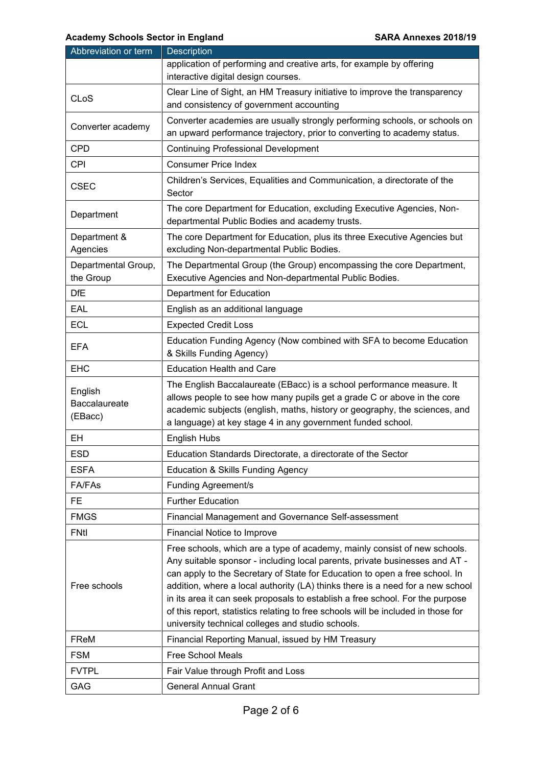| Abbreviation or term                | <b>Description</b>                                                                                                                                                                                                                                                                                                                                                                                                                                                                                                                                   |
|-------------------------------------|------------------------------------------------------------------------------------------------------------------------------------------------------------------------------------------------------------------------------------------------------------------------------------------------------------------------------------------------------------------------------------------------------------------------------------------------------------------------------------------------------------------------------------------------------|
|                                     | application of performing and creative arts, for example by offering<br>interactive digital design courses.                                                                                                                                                                                                                                                                                                                                                                                                                                          |
| <b>CLoS</b>                         | Clear Line of Sight, an HM Treasury initiative to improve the transparency<br>and consistency of government accounting                                                                                                                                                                                                                                                                                                                                                                                                                               |
| Converter academy                   | Converter academies are usually strongly performing schools, or schools on<br>an upward performance trajectory, prior to converting to academy status.                                                                                                                                                                                                                                                                                                                                                                                               |
| <b>CPD</b>                          | <b>Continuing Professional Development</b>                                                                                                                                                                                                                                                                                                                                                                                                                                                                                                           |
| <b>CPI</b>                          | <b>Consumer Price Index</b>                                                                                                                                                                                                                                                                                                                                                                                                                                                                                                                          |
| <b>CSEC</b>                         | Children's Services, Equalities and Communication, a directorate of the<br>Sector                                                                                                                                                                                                                                                                                                                                                                                                                                                                    |
| Department                          | The core Department for Education, excluding Executive Agencies, Non-<br>departmental Public Bodies and academy trusts.                                                                                                                                                                                                                                                                                                                                                                                                                              |
| Department &<br>Agencies            | The core Department for Education, plus its three Executive Agencies but<br>excluding Non-departmental Public Bodies.                                                                                                                                                                                                                                                                                                                                                                                                                                |
| Departmental Group,<br>the Group    | The Departmental Group (the Group) encompassing the core Department,<br>Executive Agencies and Non-departmental Public Bodies.                                                                                                                                                                                                                                                                                                                                                                                                                       |
| <b>DfE</b>                          | Department for Education                                                                                                                                                                                                                                                                                                                                                                                                                                                                                                                             |
| EAL                                 | English as an additional language                                                                                                                                                                                                                                                                                                                                                                                                                                                                                                                    |
| <b>ECL</b>                          | <b>Expected Credit Loss</b>                                                                                                                                                                                                                                                                                                                                                                                                                                                                                                                          |
| <b>EFA</b>                          | Education Funding Agency (Now combined with SFA to become Education<br>& Skills Funding Agency)                                                                                                                                                                                                                                                                                                                                                                                                                                                      |
| <b>EHC</b>                          | <b>Education Health and Care</b>                                                                                                                                                                                                                                                                                                                                                                                                                                                                                                                     |
| English<br>Baccalaureate<br>(EBacc) | The English Baccalaureate (EBacc) is a school performance measure. It<br>allows people to see how many pupils get a grade C or above in the core<br>academic subjects (english, maths, history or geography, the sciences, and<br>a language) at key stage 4 in any government funded school.                                                                                                                                                                                                                                                        |
| EН                                  | English Hubs                                                                                                                                                                                                                                                                                                                                                                                                                                                                                                                                         |
| <b>ESD</b>                          | Education Standards Directorate, a directorate of the Sector                                                                                                                                                                                                                                                                                                                                                                                                                                                                                         |
| <b>ESFA</b>                         | Education & Skills Funding Agency                                                                                                                                                                                                                                                                                                                                                                                                                                                                                                                    |
| FA/FAs                              | <b>Funding Agreement/s</b>                                                                                                                                                                                                                                                                                                                                                                                                                                                                                                                           |
| FE                                  | <b>Further Education</b>                                                                                                                                                                                                                                                                                                                                                                                                                                                                                                                             |
| <b>FMGS</b>                         | Financial Management and Governance Self-assessment                                                                                                                                                                                                                                                                                                                                                                                                                                                                                                  |
| <b>FNtl</b>                         | Financial Notice to Improve                                                                                                                                                                                                                                                                                                                                                                                                                                                                                                                          |
| Free schools                        | Free schools, which are a type of academy, mainly consist of new schools.<br>Any suitable sponsor - including local parents, private businesses and AT -<br>can apply to the Secretary of State for Education to open a free school. In<br>addition, where a local authority (LA) thinks there is a need for a new school<br>in its area it can seek proposals to establish a free school. For the purpose<br>of this report, statistics relating to free schools will be included in those for<br>university technical colleges and studio schools. |
| FReM                                | Financial Reporting Manual, issued by HM Treasury                                                                                                                                                                                                                                                                                                                                                                                                                                                                                                    |
| <b>FSM</b>                          | <b>Free School Meals</b>                                                                                                                                                                                                                                                                                                                                                                                                                                                                                                                             |
| <b>FVTPL</b>                        | Fair Value through Profit and Loss                                                                                                                                                                                                                                                                                                                                                                                                                                                                                                                   |
| GAG                                 | <b>General Annual Grant</b>                                                                                                                                                                                                                                                                                                                                                                                                                                                                                                                          |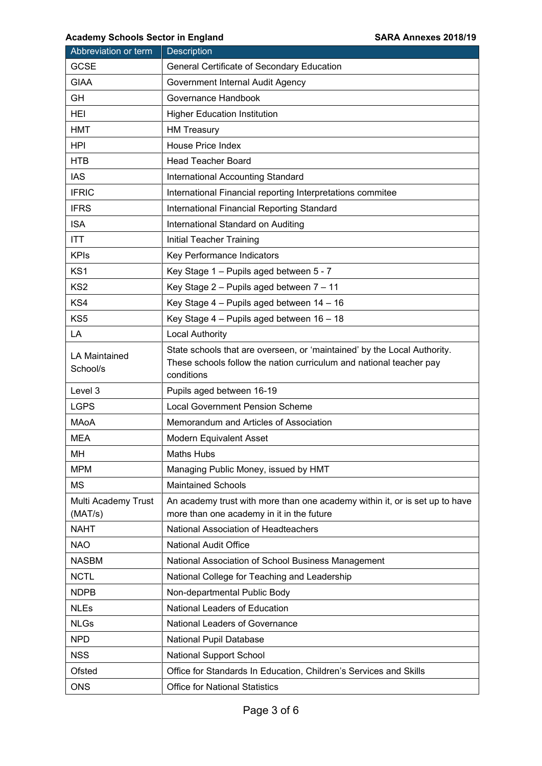| Abbreviation or term             | <b>Description</b>                                                                                                                                            |
|----------------------------------|---------------------------------------------------------------------------------------------------------------------------------------------------------------|
| <b>GCSE</b>                      | General Certificate of Secondary Education                                                                                                                    |
| <b>GIAA</b>                      | Government Internal Audit Agency                                                                                                                              |
| GH                               | Governance Handbook                                                                                                                                           |
| HEI                              | <b>Higher Education Institution</b>                                                                                                                           |
| <b>HMT</b>                       | <b>HM Treasury</b>                                                                                                                                            |
| <b>HPI</b>                       | <b>House Price Index</b>                                                                                                                                      |
| <b>HTB</b>                       | <b>Head Teacher Board</b>                                                                                                                                     |
| <b>IAS</b>                       | International Accounting Standard                                                                                                                             |
| <b>IFRIC</b>                     | International Financial reporting Interpretations commitee                                                                                                    |
| <b>IFRS</b>                      | International Financial Reporting Standard                                                                                                                    |
| <b>ISA</b>                       | International Standard on Auditing                                                                                                                            |
| <b>ITT</b>                       | Initial Teacher Training                                                                                                                                      |
| <b>KPIs</b>                      | Key Performance Indicators                                                                                                                                    |
| KS <sub>1</sub>                  | Key Stage 1 - Pupils aged between 5 - 7                                                                                                                       |
| KS <sub>2</sub>                  | Key Stage 2 - Pupils aged between 7 - 11                                                                                                                      |
| KS4                              | Key Stage 4 - Pupils aged between 14 - 16                                                                                                                     |
| KS5                              | Key Stage 4 - Pupils aged between 16 - 18                                                                                                                     |
| LA                               | <b>Local Authority</b>                                                                                                                                        |
| <b>LA Maintained</b><br>School/s | State schools that are overseen, or 'maintained' by the Local Authority.<br>These schools follow the nation curriculum and national teacher pay<br>conditions |
| Level 3                          | Pupils aged between 16-19                                                                                                                                     |
| <b>LGPS</b>                      | <b>Local Government Pension Scheme</b>                                                                                                                        |
| MAoA                             | Memorandum and Articles of Association                                                                                                                        |
| <b>MEA</b>                       | Modern Equivalent Asset                                                                                                                                       |
| MH                               | <b>Maths Hubs</b>                                                                                                                                             |
| <b>MPM</b>                       | Managing Public Money, issued by HMT                                                                                                                          |
| МS                               | <b>Maintained Schools</b>                                                                                                                                     |
| Multi Academy Trust<br>(MAT/s)   | An academy trust with more than one academy within it, or is set up to have<br>more than one academy in it in the future                                      |
| <b>NAHT</b>                      | National Association of Headteachers                                                                                                                          |
| <b>NAO</b>                       | <b>National Audit Office</b>                                                                                                                                  |
| <b>NASBM</b>                     | National Association of School Business Management                                                                                                            |
| <b>NCTL</b>                      | National College for Teaching and Leadership                                                                                                                  |
| <b>NDPB</b>                      | Non-departmental Public Body                                                                                                                                  |
| <b>NLEs</b>                      | National Leaders of Education                                                                                                                                 |
| <b>NLGs</b>                      | National Leaders of Governance                                                                                                                                |
| <b>NPD</b>                       | National Pupil Database                                                                                                                                       |
| <b>NSS</b>                       | <b>National Support School</b>                                                                                                                                |
| Ofsted                           | Office for Standards In Education, Children's Services and Skills                                                                                             |
| <b>ONS</b>                       | <b>Office for National Statistics</b>                                                                                                                         |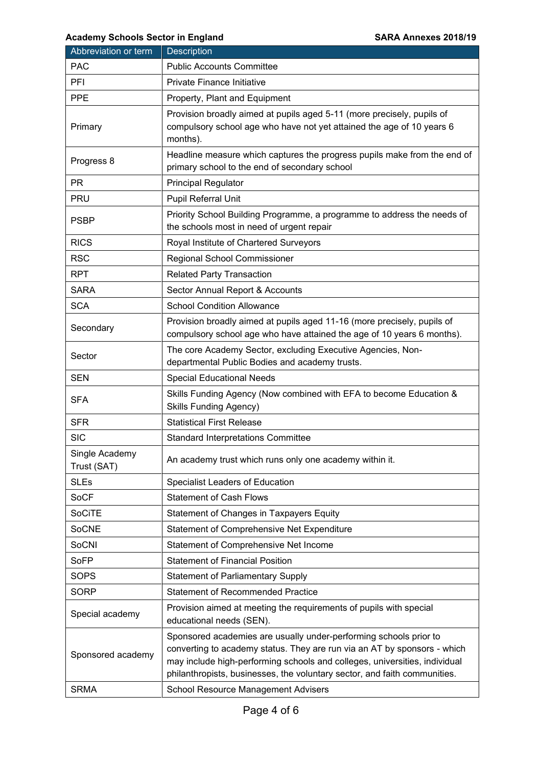| Abbreviation or term          | Description                                                                                                                                                                                                                                                                                              |
|-------------------------------|----------------------------------------------------------------------------------------------------------------------------------------------------------------------------------------------------------------------------------------------------------------------------------------------------------|
| <b>PAC</b>                    | <b>Public Accounts Committee</b>                                                                                                                                                                                                                                                                         |
| PFI                           | <b>Private Finance Initiative</b>                                                                                                                                                                                                                                                                        |
| <b>PPE</b>                    | Property, Plant and Equipment                                                                                                                                                                                                                                                                            |
| Primary                       | Provision broadly aimed at pupils aged 5-11 (more precisely, pupils of<br>compulsory school age who have not yet attained the age of 10 years 6<br>months).                                                                                                                                              |
| Progress 8                    | Headline measure which captures the progress pupils make from the end of<br>primary school to the end of secondary school                                                                                                                                                                                |
| <b>PR</b>                     | <b>Principal Regulator</b>                                                                                                                                                                                                                                                                               |
| <b>PRU</b>                    | Pupil Referral Unit                                                                                                                                                                                                                                                                                      |
| <b>PSBP</b>                   | Priority School Building Programme, a programme to address the needs of<br>the schools most in need of urgent repair                                                                                                                                                                                     |
| <b>RICS</b>                   | Royal Institute of Chartered Surveyors                                                                                                                                                                                                                                                                   |
| <b>RSC</b>                    | <b>Regional School Commissioner</b>                                                                                                                                                                                                                                                                      |
| <b>RPT</b>                    | <b>Related Party Transaction</b>                                                                                                                                                                                                                                                                         |
| <b>SARA</b>                   | Sector Annual Report & Accounts                                                                                                                                                                                                                                                                          |
| <b>SCA</b>                    | <b>School Condition Allowance</b>                                                                                                                                                                                                                                                                        |
| Secondary                     | Provision broadly aimed at pupils aged 11-16 (more precisely, pupils of<br>compulsory school age who have attained the age of 10 years 6 months).                                                                                                                                                        |
| Sector                        | The core Academy Sector, excluding Executive Agencies, Non-<br>departmental Public Bodies and academy trusts.                                                                                                                                                                                            |
| <b>SEN</b>                    | <b>Special Educational Needs</b>                                                                                                                                                                                                                                                                         |
| <b>SFA</b>                    | Skills Funding Agency (Now combined with EFA to become Education &<br><b>Skills Funding Agency)</b>                                                                                                                                                                                                      |
| <b>SFR</b>                    | <b>Statistical First Release</b>                                                                                                                                                                                                                                                                         |
| <b>SIC</b>                    | <b>Standard Interpretations Committee</b>                                                                                                                                                                                                                                                                |
| Single Academy<br>Trust (SAT) | An academy trust which runs only one academy within it.                                                                                                                                                                                                                                                  |
| <b>SLEs</b>                   | Specialist Leaders of Education                                                                                                                                                                                                                                                                          |
| <b>SoCF</b>                   | <b>Statement of Cash Flows</b>                                                                                                                                                                                                                                                                           |
| <b>SoCiTE</b>                 | Statement of Changes in Taxpayers Equity                                                                                                                                                                                                                                                                 |
| <b>SoCNE</b>                  | Statement of Comprehensive Net Expenditure                                                                                                                                                                                                                                                               |
| SoCNI                         | Statement of Comprehensive Net Income                                                                                                                                                                                                                                                                    |
| <b>SoFP</b>                   | <b>Statement of Financial Position</b>                                                                                                                                                                                                                                                                   |
| <b>SOPS</b>                   | <b>Statement of Parliamentary Supply</b>                                                                                                                                                                                                                                                                 |
| <b>SORP</b>                   | <b>Statement of Recommended Practice</b>                                                                                                                                                                                                                                                                 |
| Special academy               | Provision aimed at meeting the requirements of pupils with special<br>educational needs (SEN).                                                                                                                                                                                                           |
| Sponsored academy             | Sponsored academies are usually under-performing schools prior to<br>converting to academy status. They are run via an AT by sponsors - which<br>may include high-performing schools and colleges, universities, individual<br>philanthropists, businesses, the voluntary sector, and faith communities. |
| <b>SRMA</b>                   | <b>School Resource Management Advisers</b>                                                                                                                                                                                                                                                               |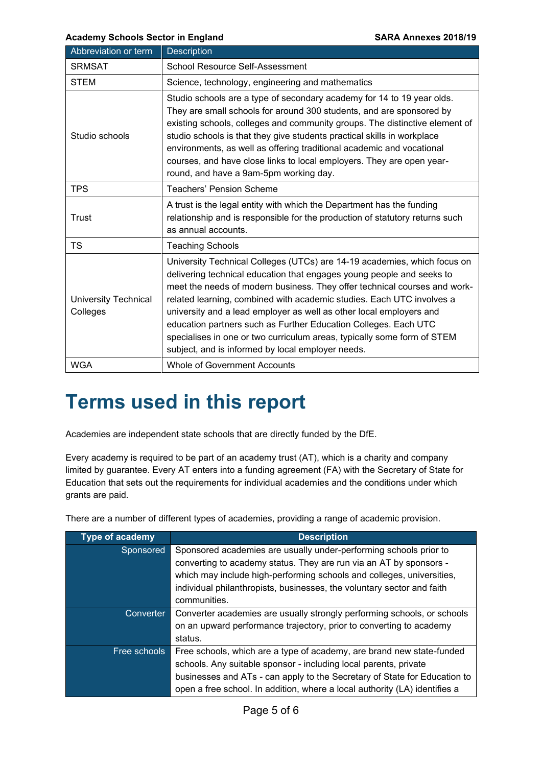| Abbreviation or term                    | <b>Description</b>                                                                                                                                                                                                                                                                                                                                                                                                                                                                                                                                                                |
|-----------------------------------------|-----------------------------------------------------------------------------------------------------------------------------------------------------------------------------------------------------------------------------------------------------------------------------------------------------------------------------------------------------------------------------------------------------------------------------------------------------------------------------------------------------------------------------------------------------------------------------------|
| <b>SRMSAT</b>                           | School Resource Self-Assessment                                                                                                                                                                                                                                                                                                                                                                                                                                                                                                                                                   |
| <b>STEM</b>                             | Science, technology, engineering and mathematics                                                                                                                                                                                                                                                                                                                                                                                                                                                                                                                                  |
| Studio schools                          | Studio schools are a type of secondary academy for 14 to 19 year olds.<br>They are small schools for around 300 students, and are sponsored by<br>existing schools, colleges and community groups. The distinctive element of<br>studio schools is that they give students practical skills in workplace<br>environments, as well as offering traditional academic and vocational<br>courses, and have close links to local employers. They are open year-<br>round, and have a 9am-5pm working day.                                                                              |
| <b>TPS</b>                              | <b>Teachers' Pension Scheme</b>                                                                                                                                                                                                                                                                                                                                                                                                                                                                                                                                                   |
| <b>Trust</b>                            | A trust is the legal entity with which the Department has the funding<br>relationship and is responsible for the production of statutory returns such<br>as annual accounts.                                                                                                                                                                                                                                                                                                                                                                                                      |
| TS                                      | <b>Teaching Schools</b>                                                                                                                                                                                                                                                                                                                                                                                                                                                                                                                                                           |
| <b>University Technical</b><br>Colleges | University Technical Colleges (UTCs) are 14-19 academies, which focus on<br>delivering technical education that engages young people and seeks to<br>meet the needs of modern business. They offer technical courses and work-<br>related learning, combined with academic studies. Each UTC involves a<br>university and a lead employer as well as other local employers and<br>education partners such as Further Education Colleges. Each UTC<br>specialises in one or two curriculum areas, typically some form of STEM<br>subject, and is informed by local employer needs. |
| <b>WGA</b>                              | <b>Whole of Government Accounts</b>                                                                                                                                                                                                                                                                                                                                                                                                                                                                                                                                               |

## **Terms used in this report**

Academies are independent state schools that are directly funded by the DfE.

 Every academy is required to be part of an academy trust (AT), which is a charity and company limited by guarantee. Every AT enters into a funding agreement (FA) with the Secretary of State for Education that sets out the requirements for individual academies and the conditions under which grants are paid.

There are a number of different types of academies, providing a range of academic provision.

| Type of academy | <b>Description</b>                                                         |
|-----------------|----------------------------------------------------------------------------|
| Sponsored       | Sponsored academies are usually under-performing schools prior to          |
|                 | converting to academy status. They are run via an AT by sponsors -         |
|                 | which may include high-performing schools and colleges, universities,      |
|                 | individual philanthropists, businesses, the voluntary sector and faith     |
|                 | communities.                                                               |
| Converter       | Converter academies are usually strongly performing schools, or schools    |
|                 | on an upward performance trajectory, prior to converting to academy        |
|                 | status.                                                                    |
| Free schools    | Free schools, which are a type of academy, are brand new state-funded      |
|                 | schools. Any suitable sponsor - including local parents, private           |
|                 | businesses and ATs - can apply to the Secretary of State for Education to  |
|                 | open a free school. In addition, where a local authority (LA) identifies a |